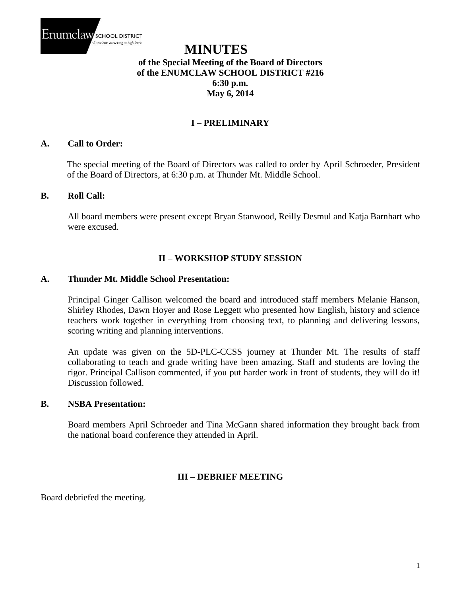

# **MINUTES of the Special Meeting of the Board of Directors of the ENUMCLAW SCHOOL DISTRICT #216 6:30 p.m. May 6, 2014**

## **I – PRELIMINARY**

## **A. Call to Order:**

The special meeting of the Board of Directors was called to order by April Schroeder, President of the Board of Directors, at 6:30 p.m. at Thunder Mt. Middle School.

#### **B. Roll Call:**

All board members were present except Bryan Stanwood, Reilly Desmul and Katja Barnhart who were excused.

## **II – WORKSHOP STUDY SESSION**

## **A. Thunder Mt. Middle School Presentation:**

Principal Ginger Callison welcomed the board and introduced staff members Melanie Hanson, Shirley Rhodes, Dawn Hoyer and Rose Leggett who presented how English, history and science teachers work together in everything from choosing text, to planning and delivering lessons, scoring writing and planning interventions.

An update was given on the 5D-PLC-CCSS journey at Thunder Mt. The results of staff collaborating to teach and grade writing have been amazing. Staff and students are loving the rigor. Principal Callison commented, if you put harder work in front of students, they will do it! Discussion followed.

## **B. NSBA Presentation:**

Board members April Schroeder and Tina McGann shared information they brought back from the national board conference they attended in April.

## **III – DEBRIEF MEETING**

Board debriefed the meeting.